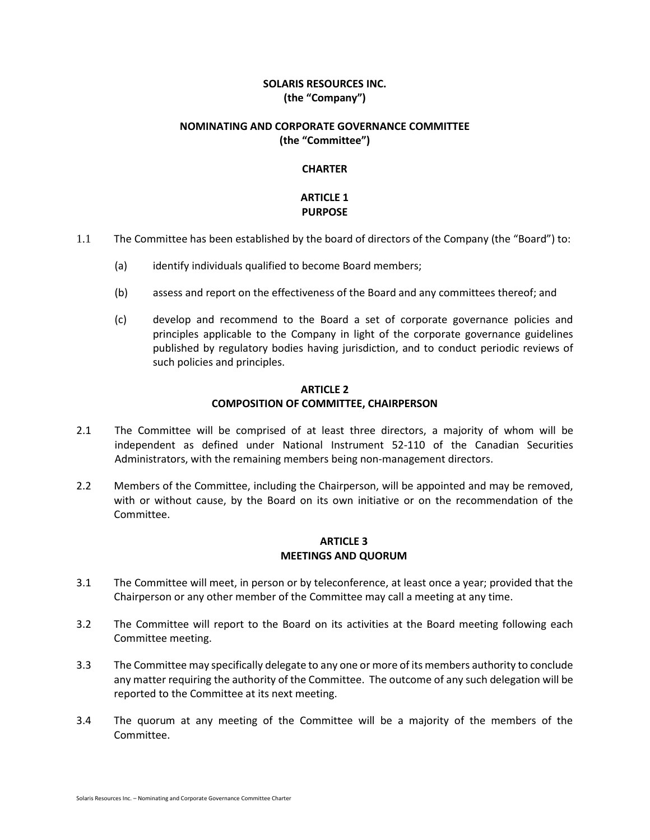## **SOLARIS RESOURCES INC. (the "Company")**

#### **NOMINATING AND CORPORATE GOVERNANCE COMMITTEE (the "Committee")**

#### **CHARTER**

### **ARTICLE 1 PURPOSE**

- 1.1 The Committee has been established by the board of directors of the Company (the "Board") to:
	- (a) identify individuals qualified to become Board members;
	- (b) assess and report on the effectiveness of the Board and any committees thereof; and
	- (c) develop and recommend to the Board a set of corporate governance policies and principles applicable to the Company in light of the corporate governance guidelines published by regulatory bodies having jurisdiction, and to conduct periodic reviews of such policies and principles.

#### **ARTICLE 2 COMPOSITION OF COMMITTEE, CHAIRPERSON**

- 2.1 The Committee will be comprised of at least three directors, a majority of whom will be independent as defined under National Instrument 52-110 of the Canadian Securities Administrators, with the remaining members being non-management directors.
- 2.2 Members of the Committee, including the Chairperson, will be appointed and may be removed, with or without cause, by the Board on its own initiative or on the recommendation of the Committee.

## **ARTICLE 3 MEETINGS AND QUORUM**

- 3.1 The Committee will meet, in person or by teleconference, at least once a year; provided that the Chairperson or any other member of the Committee may call a meeting at any time.
- 3.2 The Committee will report to the Board on its activities at the Board meeting following each Committee meeting.
- 3.3 The Committee may specifically delegate to any one or more of its members authority to conclude any matter requiring the authority of the Committee. The outcome of any such delegation will be reported to the Committee at its next meeting.
- 3.4 The quorum at any meeting of the Committee will be a majority of the members of the Committee.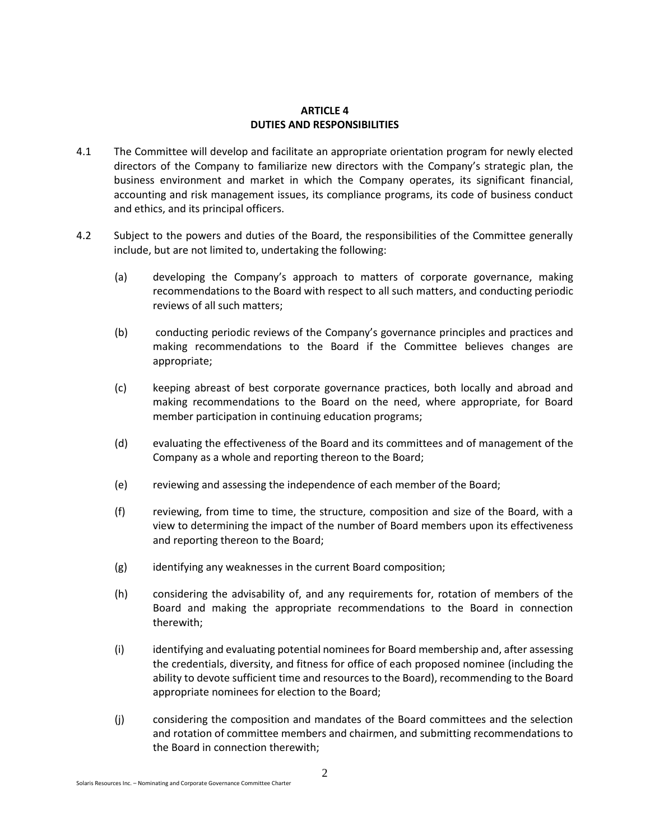## **ARTICLE 4 DUTIES AND RESPONSIBILITIES**

- 4.1 The Committee will develop and facilitate an appropriate orientation program for newly elected directors of the Company to familiarize new directors with the Company's strategic plan, the business environment and market in which the Company operates, its significant financial, accounting and risk management issues, its compliance programs, its code of business conduct and ethics, and its principal officers.
- 4.2 Subject to the powers and duties of the Board, the responsibilities of the Committee generally include, but are not limited to, undertaking the following:
	- (a) developing the Company's approach to matters of corporate governance, making recommendations to the Board with respect to all such matters, and conducting periodic reviews of all such matters;
	- (b) conducting periodic reviews of the Company's governance principles and practices and making recommendations to the Board if the Committee believes changes are appropriate;
	- (c) keeping abreast of best corporate governance practices, both locally and abroad and making recommendations to the Board on the need, where appropriate, for Board member participation in continuing education programs;
	- (d) evaluating the effectiveness of the Board and its committees and of management of the Company as a whole and reporting thereon to the Board;
	- (e) reviewing and assessing the independence of each member of the Board;
	- (f) reviewing, from time to time, the structure, composition and size of the Board, with a view to determining the impact of the number of Board members upon its effectiveness and reporting thereon to the Board;
	- (g) identifying any weaknesses in the current Board composition;
	- (h) considering the advisability of, and any requirements for, rotation of members of the Board and making the appropriate recommendations to the Board in connection therewith;
	- (i) identifying and evaluating potential nominees for Board membership and, after assessing the credentials, diversity, and fitness for office of each proposed nominee (including the ability to devote sufficient time and resources to the Board), recommending to the Board appropriate nominees for election to the Board;
	- (j) considering the composition and mandates of the Board committees and the selection and rotation of committee members and chairmen, and submitting recommendations to the Board in connection therewith;